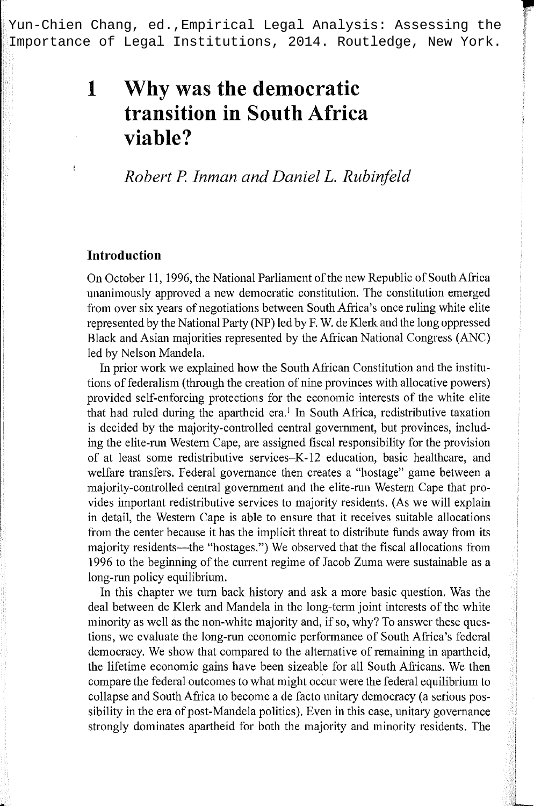Yun-Chien Chang, ed.,Empirical Legal Analysis: Assessing the Importance of Legal Institutions, 2014. Routledge, New York.

**r** 

# **1 Why was the democratic transition in South Africa viable?**

## *Robert* P. *Inman and DanielL. Rubinfeld*

## **Introduction**

On October 11, 1996, the National Parliament of the new Republic of South Africa unanimously approved a new democratic constitution. The constitution emerged from over six years of negotiations between South Africa's once ruling white elite represented by the National Party (NP) led by F. W. de Klerk and the long oppressed Black and Asian majorities represented by the African National Congress (ANC) led by Nelson Mandela.

In prior work we explained how the South African Constitution and the institutions of federalism (through the creation of nine provinces with allocative powers) provided self-enforcing protections for the economic interests of the white elite that had ruled during the apartheid era.<sup>1</sup> In South Africa, redistributive taxation is decided by the majority-controlled central government, but provinces, including the elite-run Western Cape, are assigned fiscal responsibility for the provision of at least some redistributive services-K-12 education, basic healthcare, and welfare transfers. Federal governance then creates a "hostage" game between a majority-controlled central government and the elite-run Western Cape that provides important redistributive services to majority residents. (As we will explain in detail, the Western Cape is able to ensure that it receives suitable allocations from the center because it has the implicit threat to distribute funds away from its majority residents—the "hostages.") We observed that the fiscal allocations from 1996 to the beginning of the cunent regime of Jacob Zuma were sustainable as a long-run policy equilibrium.

In this chapter we turn back history and ask a more basic question. Was the deal between de Klerk and Mandela in the long-term joint interests of the white minority as well as the non-white majority and, if so, why? To answer these questions, we evaluate the long-run economic performance of South Africa's federal democracy. We show that compared to the alternative of remaining in apartheid, the lifetime economic gains have been sizeable for all South Africans. We then compare the federal outcomes to what might occur were the federal equilibrium to collapse and South Africa to become a de facto unitary democracy (a serious possibility in the era of post-Mandela politics). Even in this case, unitary governance strongly dominates apartheid for both the majority and minority residents. The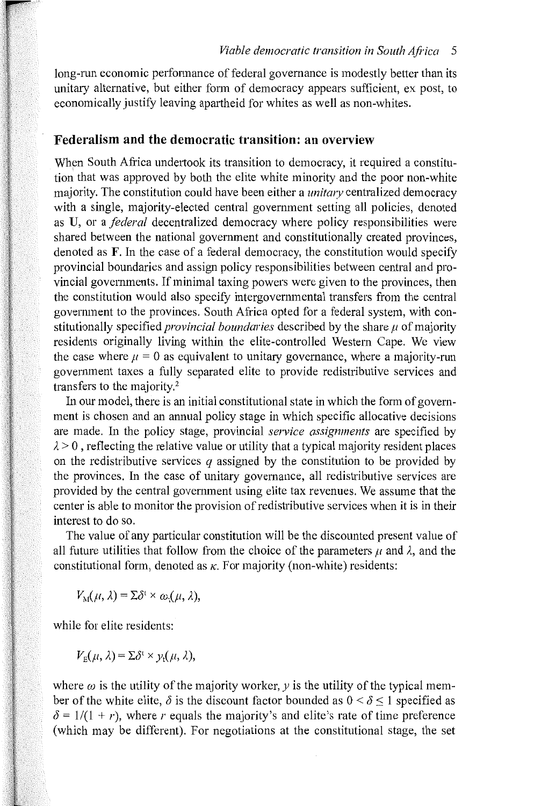long-run economic performance of federal governance is modestly better than its unitary alternative, but either fonn of democracy appears sufficient, ex post, to economically justify leaving apartheid for whites as well as non-whites.

## **Federalism and the democratic transition: an overview**

When South Africa undertook its transition to democracy, it required a constitution that was approved by both the elite white minority and the poor non-white majority. The constitution could have been either a *unitary* centralized democracy with a single, majority-elected central government setting all policies, denoted as U, or a *federal* decentralized democracy where policy responsibilities were shared between the national government and constitutionally created provinces, denoted as F. In the case of a federal democracy, the constitution would specify provincial boundaries and assign policy responsibilities between central and provincial governments. If minimal taxing powers were given to the provinces, then the constitution would also specify intergovernmental transfers from the central government to the provinces. South Africa opted for a federal system, with constitutionally specified *provincial boundaries* described by the share  $\mu$  of majority residents originally living within the elite-controlled Western Cape. We view the case where  $\mu = 0$  as equivalent to unitary governance, where a majority-run government taxes a fully separated elite to provide redistributive services and transfers to the majority.<sup>2</sup>

In our model, there is an initial constitutional state in which the form of government is chosen and an annual policy stage in which specific allocative decisions are made. In the policy stage, provincial *service assignments* are specified by  $\lambda > 0$ , reflecting the relative value or utility that a typical majority resident places on the redistributive services *q* assigned by the constitution to be provided by the provinces. In the case of unitary governance, all redistributive services are provided by the central government using elite tax revenues. We assume that the center is able to monitor the provision of redistributive services when it is in their interest to do so.

The value of any particular constitution will be the discounted present value of all future utilities that follow from the choice of the parameters  $\mu$  and  $\lambda$ , and the constitutional form, denoted as  $\kappa$ . For majority (non-white) residents:

 $V_{\lambda}(\mu, \lambda) = \Sigma \delta^{\mathrm{t}} \times \omega_{\mathrm{t}}(\mu, \lambda),$ 

while for elite residents:

 $V_{\rm E}(\mu, \lambda) = \Sigma \delta^{\rm t} \times \nu_{\rm t}(\mu, \lambda)$ ,

where  $\omega$  is the utility of the majority worker,  $y$  is the utility of the typical member of the white elite,  $\delta$  is the discount factor bounded as  $0 \le \delta \le 1$  specified as  $\delta = 1/(1 + r)$ , where r equals the majority's and elite's rate of time preference (which may be different). For negotiations at the constitutional stage, the set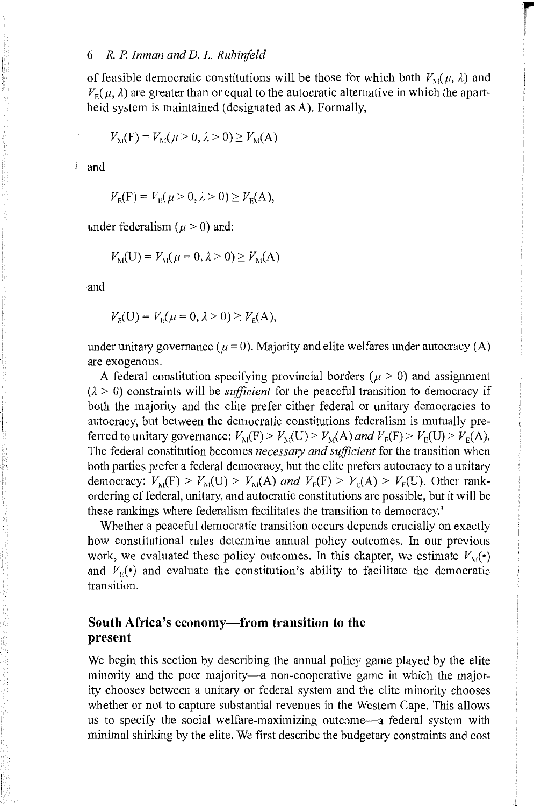of feasible democratic constitutions will be those for which both  $V_{\text{M}}(\mu, \lambda)$  and  $V_{\rm E}(\mu, \lambda)$  are greater than or equal to the autocratic alternative in which the apartheid system is maintained (designated as A). Formally,

**r** 

$$
V_M(F) = V_M(\mu > 0, \lambda > 0) \geq V_M(A)
$$

' and

$$
V_{\rm E}(F) = V_{\rm E}(\mu > 0, \lambda > 0) \ge V_{\rm E}(A),
$$

under federalism ( $\mu$  > 0) and:

$$
V_M(U) = V_M(\mu = 0, \lambda > 0) \geq V_M(A)
$$

and

$$
V_{\rm E}(U) = V_{\rm E}(\mu = 0, \lambda > 0) \ge V_{\rm E}(A),
$$

under unitary governance ( $\mu = 0$ ). Majority and elite welfares under autocracy (A) are exogenous.

A federal constitution specifying provincial borders ( $\mu > 0$ ) and assignment  $(\lambda > 0)$  constraints will be *sufficient* for the peaceful transition to democracy if both the majority and the elite prefer either federal or unitary democracies to autocracy, but between the democratic constitutions federalism is mutually preferred to unitary governance:  $V_M(F) > V_M(U) > V_M(A)$  and  $V_F(F) > V_F(U) > V_F(A)$ . The federal constitution becomes *necessmy and sufficient* for the transition when both parties prefer a federal democracy, but the elite prefers autocracy to a unitary democracy:  $V_M(F) > V_M(U) > V_M(A)$  and  $V_F(F) > V_F(A) > V_F(U)$ . Other rankordering of federal, unitary, and autocratic constitutions are possible, but it will be these rankings where federalism facilitates the transition to democracy.3

Whether a peaceful democratic transition occurs depends crucially on exactly how constitutional rules determine annual policy outcomes. In our previous work, we evaluated these policy outcomes. In this chapter, we estimate  $V_{\text{M}}(\cdot)$ and  $V_F(\cdot)$  and evaluate the constitution's ability to facilitate the democratic transition.

## **South Africa's economy-from transition to the present**

We begin this section by describing the annual policy game played by the elite minority and the poor majority—a non-cooperative game in which the majority chooses between a unitary or federal system and the elite minority chooses whether or not to capture substantial revenues in the Western Cape. This allows us to specify the social welfare-maximizing outcome-a federal system with minimal shirking by the elite. We ftrst describe the budgetary constraints and cost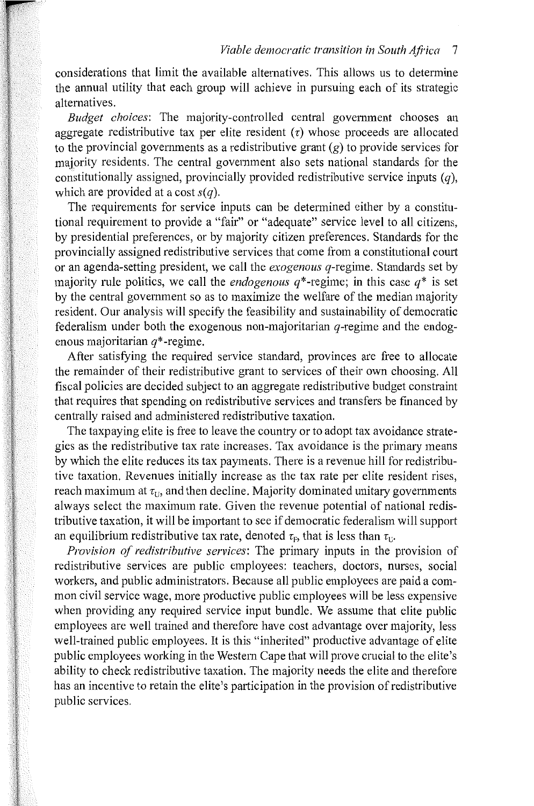considerations that limit the available alternatives. This allows us to determine the annual utility that each group will achieve in pursuing each of its strategic alternatives.

*Budget choices:* The majority-controlled central government chooses an aggregate redistributive tax per elite resident  $(\tau)$  whose proceeds are allocated to the provincial governments as a redistributive grant  $(g)$  to provide services for majority residents. The central government also sets national standards for the constitutionally assigned, provincially provided redistributive service inputs  $(q)$ , which are provided at a cost  $s(a)$ .

The requirements for service inputs can be determined either by a constitutional requirement to provide a "fair" or "adequate" service level to all citizens, by presidential preferences, or by majority citizen preferences. Standards for the provincially assigned redistributive services that come from a constitutional court or an agenda-setting president, we call the *exogenous* q-regime. Standards set by majority rule politics, we call the *endogenous*  $q^*$ -regime; in this case  $q^*$  is set by the central government so as to maximize the welfare of the median majority resident. Our analysis will specify the feasibility and sustainability of democratic federalism under both the exogenous non-majoritarian  $q$ -regime and the endogenous majoritarian  $q^*$ -regime.

After satisfying the required service standard, provinces are free to allocate the remainder of their redistributive grant to services of their own choosing. All fiscal policies are decided subject to an aggregate redistributive budget constraint that requires that spending on redistributive services and transfers be financed by centrally raised and administered redistributive taxation.

The taxpaying elite is free to leave the country or to adopt tax avoidance strategies as the redistributive tax rate increases. Tax avoidance is the primary means by which the elite reduces its tax payments. There is a revenue hill for redistributive taxation. Revenues initially increase as the tax rate per elite resident rises, reach maximum at  $\tau_{11}$ , and then decline. Majority dominated unitary governments always select the maximum rate. Given the revenue potential of national redistributive taxation, it will be important to see if democratic federalism will support an equilibrium redistributive tax rate, denoted  $\tau_F$ , that is less than  $\tau_U$ .

*Provision of redistributive services:* The primary inputs in the provision of redistributive services are public employees: teachers, doctors, nurses, social workers, and public administrators. Because all public employees are paid a common civil service wage, more productive public employees will be less expensive when providing any required service input bundle. We assume that elite public employees are well trained and therefore have cost advantage over majority, less well-trained public employees. It is this "inherited" productive advantage of elite public employees working in the Western Cape that will prove crucial to the elite's ability to check redistributive taxation. The majority needs the elite and therefore has an incentive to retain the elite's participation in the provision of redistributive public services.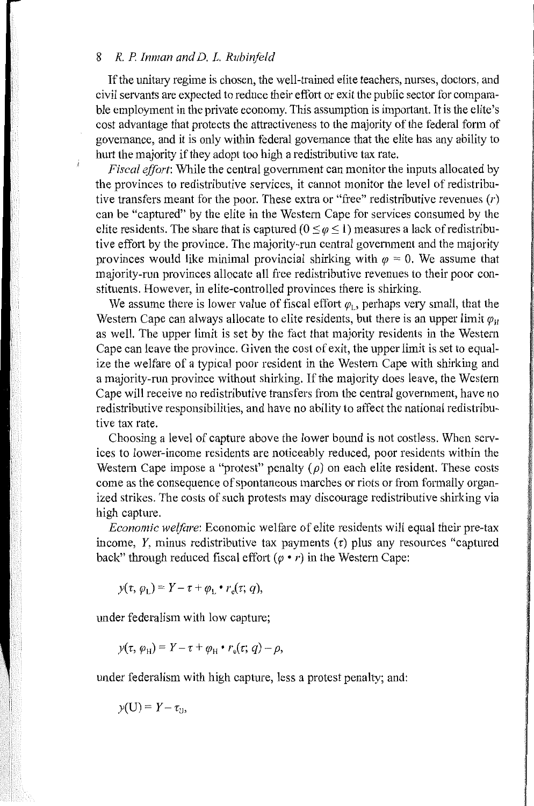If the unitary regime is chosen, the well-trained elite teachers, nurses, doctors, and civil servants are expected to reduce their effort or exit the public sector for comparable employment in the private economy. This assumption is important. It is the elite's cost advantage that protects the attractiveness to the majority of the federal fonn of govemance, and it is only within federal govemance that the elite has any ability to hurt the majority if they adopt too high a redistributive tax rate.

*Fiscal effort*: While the central government can monitor the inputs allocated by the provinces to redistributive services, it cannot monitor the level of redistributive transfers meant for the poor. These extra or "free" redistributive revenues (r) can be "captured" by the elite in the Westem Cape for services consumed by the elite residents. The share that is captured  $(0 \le \varphi \le 1)$  measures a lack of redistributive effort by the province. The majority-run central govennnent and the majority provinces would like minimal provincial shirking with  $\varphi = 0$ . We assume that majority-run provinces allocate all free redistributive revenues to their poor constituents. However, in elite-controlled provinces there is shirking.

We assume there is lower value of fiscal effort  $\varphi_L$ , perhaps very small, that the Western Cape can always allocate to elite residents, but there is an upper limit  $\varphi_H$ as well. The upper limit is set by the fact that majority residents in the Westem Cape can leave the province. Given the cost of exit, the upper limit is set to equalize the welfare of a typical poor resident in the Westem Cape with shirking and a majority-run province without shirking. If the majority does leave, the Westem Cape will receive no redistributive transfers from the central government, have no redistributive responsibilities, and have no ability to affect the national redistributive tax rate.

Choosing a level of capture above the lower bound is not costless. When services to lower-income residents are noticeably reduced, poor residents within the Western Cape impose a "protest" penalty  $(\rho)$  on each elite resident. These costs come as the consequence of spontaneous marches or riots or from formally organized strikes. The costs of such protests may discourage redistributive shirking via high capture.

*Economic welfare:* Economic welfare of elite residents will equal their pre-tax income,  $Y$ , minus redistributive tax payments  $(\tau)$  plus any resources "captured back" through reduced fiscal effort  $(\varphi \cdot r)$  in the Western Cape:

 $y(\tau, \varphi_L) = Y - \tau + \varphi_L \bullet r_e(\tau; q),$ 

under federalism with low capture;

$$
y(\tau, \varphi_H) = Y - \tau + \varphi_H \bullet r_e(\tau; q) - \rho,
$$

under federalism with high capture, less a protest penalty; and:

$$
y(\mathbf{U})=Y-\tau_{\mathbf{U}},
$$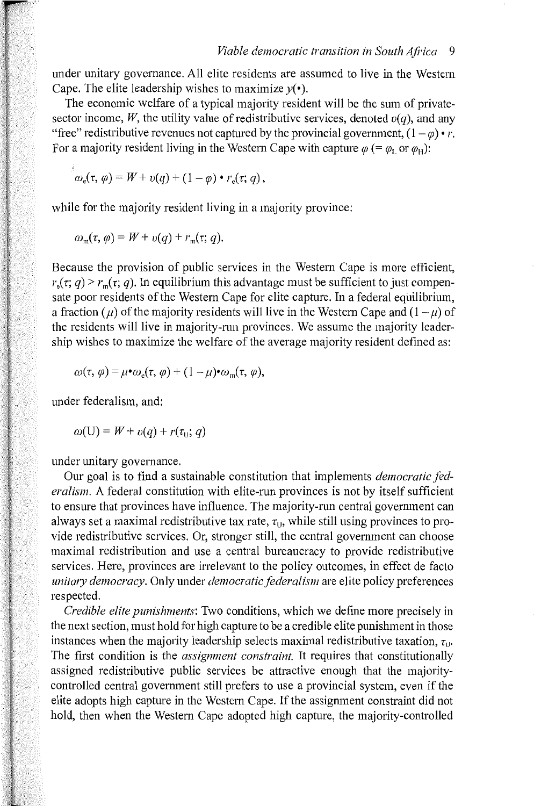under unitary governance. All elite residents are assumed to live in the Western Cape. The elite leadership wishes to maximize  $y(\cdot)$ .

The economic welfare of a typical majority resident will be the sum of privatesector income, W, the utility value of redistributive services, denoted  $v(q)$ , and any "free" redistributive revenues not captured by the provincial government,  $(1 - \varphi) \cdot r$ . For a majority resident living in the Western Cape with capture  $\varphi$  (=  $\varphi$ <sub>L</sub> or  $\varphi$ <sub>H</sub>):

$$
\omega_{\rm e}(\tau,\varphi)=W+v(q)+(1-\varphi)\bullet r_{\rm e}(\tau;q)\,,
$$

while for the majority resident living in a majority province:

$$
\omega_{\mathfrak{m}}(\tau,\varphi)=W+v(q)+r_{\mathfrak{m}}(\tau;q).
$$

Because the provision of public services in the Western Cape is more efficient,  $r_{n}(\tau, q) > r_{m}(\tau, q)$ . In equilibrium this advantage must be sufficient to just compensate poor residents of the Western Cape for elite capture. In a federal equilibrium, a fraction ( $\mu$ ) of the majority residents will live in the Western Cape and ( $1-\mu$ ) of the residents will live in majority-run provinces. We assume the majority leadership wishes to maximize the welfare of the average majority resident defined as:

$$
\omega(\tau, \varphi) = \mu \cdot \omega_{\rm e}(\tau, \varphi) + (1 - \mu) \cdot \omega_{\rm m}(\tau, \varphi),
$$

under federalism, and:

$$
\omega(U) = W + v(q) + r(\tau_U; q)
$$

under unitary governance.

Our goal is to find a sustainable constitution that implements *democratic fed*eralism. A federal constitution with elite-run provinces is not by itself sufficient to ensure that provinces have influence. The majority-run central government can always set a maximal redistributive tax rate,  $\tau_{\text{U}}$ , while still using provinces to provide redistributive services. Or, stronger still, the central government can choose maximal redistribution and use a central bureaucracy to provide redistributive services. Here, provinces are irrelevant to the policy outcomes, in effect de facto *unit my democracy.* Only under *democratic federalism* are elite policy preferences respected.

*Credible elite punishments:* Two conditions, which we define more precisely in the next section, must hold for high capture to be a credible elite punishment in those instances when the majority leadership selects maximal redistributive taxation,  $\tau_{\text{th}}$ . The first condition is the *assignment constraint.* It requires that constitutionally assigned redistributive public services be attractive enough that the majoritycontrolled central government still prefers to use a provincial system, even if the elite adopts high capture in the Western Cape. If the assignment constraint did not hold, then when the Western Cape adopted high capture, the majority-controlled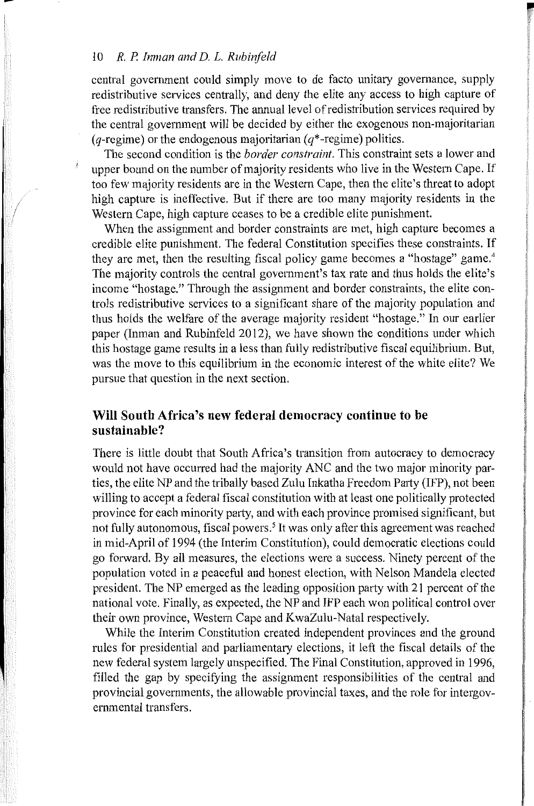central government could simply move to de facto unitary governance, supply redistributive services centrally, and deny the elite any access to high capture of free redistributive transfers. The annual level of redistribution services required by the central govemment will be decided by either the exogenous non-majoritarian (*q*-regime) or the endogenous majoritarian ( $q^*$ -regime) politics.

*<u>r <b>r*</u>

The second condition is the *border constraint.* This constraint sets a lower and upper bound on the number of majority residents who live in the Western Cape. If too few majority residents are in the Western Cape, then the elite's threat to adopt high capture is ineffective. But if there are too many majority residents in the Western Cape, high capture ceases to be a credible elite punishment.

When the assignment and border constraints are met, high capture becomes a credible elite punishment. The federal Constitution specifies these constraints. If they are met, then the resulting fiscal policy game becomes a "hostage" game. <sup>4</sup> The majority controls the central government's tax rate and thus holds the elite's income "hostage." Through the assignment and border constraints, the elite controls redistributive services to a significant share of the majority population and thus holds the welfare of the average majority resident "hostage." In our earlier paper (Inman and Rubinfeld 2012), we have shown the conditions under which this hostage game results in a less than fully redistributive fiscal equilibrium. But, was the move to this equilibrium in the economic interest of the white elite? We pursue that question in the next section.

#### **Will South Africa's new federal democracy continue to be sustainable?**

There is little doubt that South Africa's transition from autocracy to democracy would not have occurred had the majority ANC and the two major minority parties, the elite NP and the tribally based Zulu Inkatha Freedom Party (IFP), not been willing to accept a federal fiscal constitution with at least one politically protected province for each minority party, and with each province promised significant, but not fully autonomous, fiscal powers.<sup>5</sup> It was only after this agreement was reached in mid-April of 1994 (the Interim Constitution), could democratic elections could go forward. By all measures, the elections were a success. Ninety percent of the population voted in a peaceful and honest election, with Nelson Mandela elected president. The NP emerged as the leading opposition party with 21 percent of the national vote. Finally, as expected, the NP and IFP each won political control over their own province, Western Cape and KwaZulu-Natal respectively.

While the Interim Constitution created independent provinces and the ground mles for presidential and parliamentary elections, it left the fiscal details of the new federal system largely unspecified. The Final Constitution, approved in 1996, filled the gap by specifying the assignment responsibilities of the central and provincial governments, the allowable provincial taxes, and the role for intergovernmental transfers.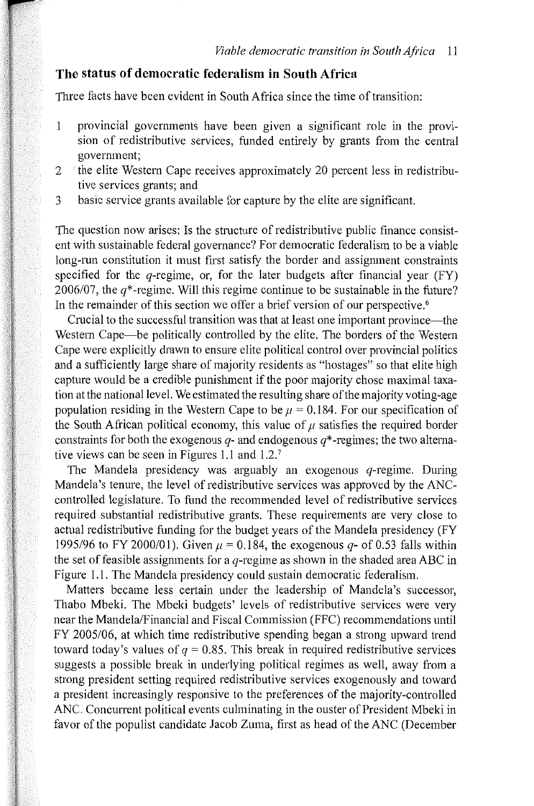## **The status of democratic federalism in South Africa**

Three facts have been evident in South Africa since the time of transition:

- provincial governments have been given a significant role in the provi- $\mathbf{1}$ sion of redistributive services, funded entirely by grants from the central government;
- $2$   $\pm$  the elite Western Cape receives approximately 20 percent less in redistributive services grants; and
- 3 basic service grants available for capture by the elite are significant.

The question now arises: Is the structure of redistributive public finance consistent with sustainable federal governance? For democratic federalism to be a viable long-run constitution it must first satisfy the border and assignment constraints specified for the  $q$ -regime, or, for the later budgets after financial year (FY) 2006/07, the  $q^*$ -regime. Will this regime continue to be sustainable in the future? In the remainder of this section we offer a brief version of our perspective.<sup>6</sup>

Crucial to the successful transition was that at least one important province—the Western Cape—be politically controlled by the elite. The borders of the Western Cape were explicitly drawn to ensure elite political control over provincial politics and a sufficiently large share of majority residents as "hostages" so that elite high capture would be a credible punishment if the poor majority chose maximal taxation at the national level. We estimated the resulting share of the majority voting-age population residing in the Western Cape to be  $\mu = 0.184$ . For our specification of the South African political economy, this value of  $\mu$  satisfies the required border constraints for both the exogenous  $q$ - and endogenous  $q^*$ -regimes; the two alternative views can be seen in Figures 1.1 and 1.2.<sup>7</sup>

The Mandela presidency was arguably an exogenous  $q$ -regime. During Mandela's tenure, the level of redistributive services was approved by the ANCcontrolled legislature. To fund the recommended level of redistributive services required substantial redistributive grants. These requirements are very close to actual redistributive funding for the budget years of the Mandela presidency (FY 1995/96 to FY 2000/01). Given  $\mu = 0.184$ , the exogenous q- of 0.53 falls within the set of feasible assignments for a  $q$ -regime as shown in the shaded area ABC in Figure 1.1. The Mandela presidency could sustain democratic federalism.

Matters became less certain under the leadership of Mandela's successor, Thabo Mbeki. The Mbeki budgets' levels of redistributive services were vety near the Mandela/Financial and Fiscal Commission (FFC) recommendations until FY 2005/06, at which time redistributive spending began a strong upward trend toward today's values of  $q = 0.85$ . This break in required redistributive services suggests a possible break in underlying political regimes as well, away from a strong president setting required redistributive services exogenously and toward a president increasingly responsive to the preferences of the majority-controlled ANC. Concurrent political events culminating in the ouster of President Mbeki in favor of the populist candidate Jacob Zuma, first as head of the ANC (December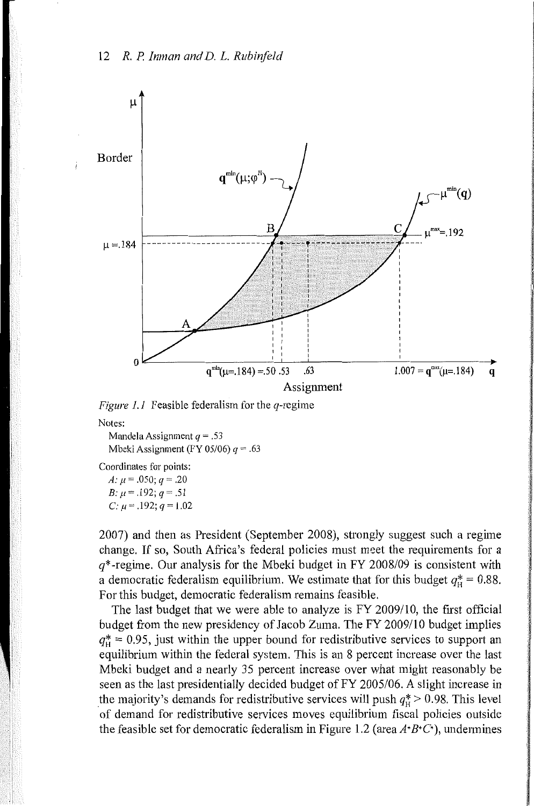



Notes:

Mandela Assignment *q* = .53 Mbeki Assignment (FY 05/06) *q* = .63

Coordinates for points:

A:  $\mu$  = .050;  $q = .20$ B:  $\mu$  = .192;  $q = .51$ 

*C:*  $\mu = .192$ ;  $q = 1.02$ 

2007) and then as President (September 2008), strongly suggest such a regime change. If so, South Africa's federal policies must meet the requirements for a  $q^*$ -regime. Our analysis for the Mbeki budget in FY 2008/09 is consistent with a democratic federalism equilibrium. We estimate that for this budget  $q_{\text{u}}^* = 0.88$ . For this budget, democratic federalism remains feasible.

The last budget that we were able to analyze is FY 2009/10, the first official budget from the new presidency of Jacob Zuma. The FY 2009/10 budget implies  $q_{\text{H}}^* = 0.95$ , just within the upper bound for redistributive services to support an equilibrium within the federal system. This is an 8 percent increase over the last Mbeki budget and a nearly 35 percent increase over what might reasonably be seen as the last presidentially decided budget of FY 2005/06. A slight increase in the majority's demands for redistributive services will push  $q_{\rm H}^* > 0.98$ . This level of demand for redistributive services moves equilibrium fiscal policies outside the feasible set for democratic federalism in Figure 1.2 (area  $A^*B^*C^*$ ), undermines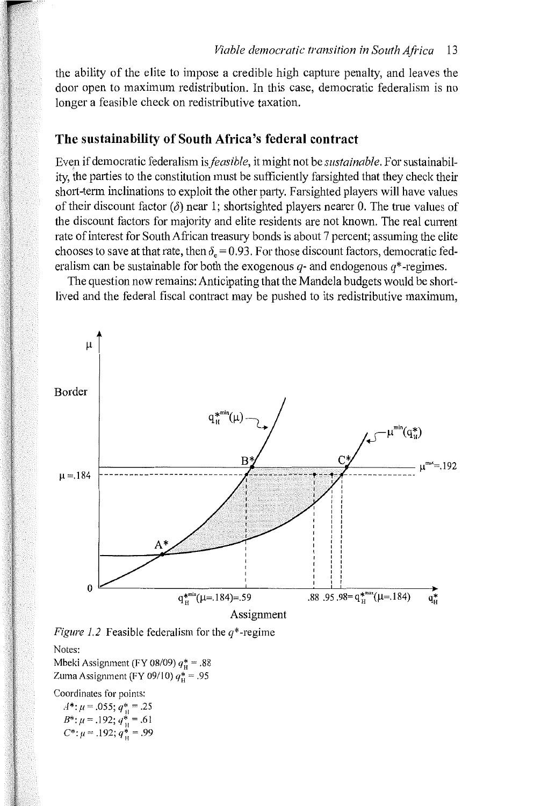the ability of the elite to impose a credible high capture penalty, and leaves the door open to maximum redistribution. In this case, democratic federalism is no longer a feasible check on redistributive taxation.

### **The sustainability of South Africa's federal contract**

Even if democratic federalism is *feasible,* it might not be *sustainable.* For sustainability, the parties to the constitution must be sufficiently farsighted that they check their short-term inclinations to exploit the other party. Farsighted players will have values of their discount factor  $(\delta)$  near 1; shortsighted players nearer 0. The true values of the discount factors for majority and elite residents are not known. The real current rate of interest for South African treasury bonds is about 7 percent; assuming the elite chooses to save at that rate, then  $\delta_e = 0.93$ . For those discount factors, democratic federalism can be sustainable for both the exogenous  $q$ - and endogenous  $q^*$ -regimes.

The question now remains: Anticipating that the Mandela budgets would be shortlived and the federal fiscal contract may be pushed to its redistributive maximum,





Mbeki Assignment (FY 08/09)  $q_H^* = .88$ Zuma Assignment (FY 09/10)  $q_{\mu}^*$  = .95

Coordinates for points:

 $A^*$ :  $\mu$  = .055;  $q_{\rm H}^*$  = .25  $B^*$ :  $\mu$  = .192;  $q_{\rm H}^*$  = .61  $C^*$ :  $\mu$  = .192;  $q_u^*$  = .99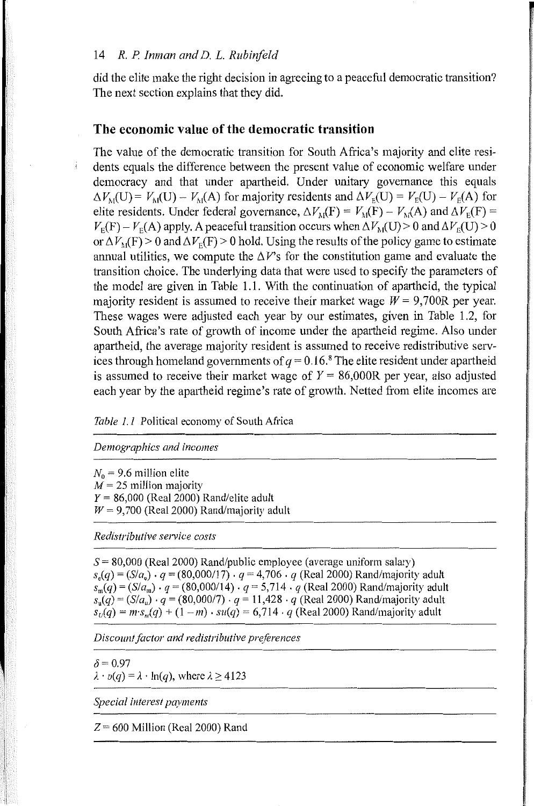did the elite make the right decision in agreeing to a peaceful democratic transition? The next section explains that they did.

## **The economic value of the democratic transition**

The value of the democratic transition for South Africa's majority and elite residents equals the difference between the present value of economic welfare under democracy and that under apartheid. Under unitary governance this equals  $\Delta V_{\text{M}}(\text{U}) = V_{\text{M}}(\text{U}) - V_{\text{M}}(\text{A})$  for majority residents and  $\Delta V_{\text{E}}(\text{U}) = V_{\text{E}}(\text{U}) - V_{\text{E}}(\text{A})$  for elite residents. Under federal governance,  $\Delta V_{\text{M}}(F) = V_{\text{M}}(F) - V_{\text{M}}(A)$  and  $\Delta V_{\text{E}}(F) =$  $V_{\rm E}(F) - V_{\rm E}(A)$  apply. A peaceful transition occurs when  $\Delta V_{\rm M}(U) > 0$  and  $\Delta V_{\rm E}(U) > 0$ or  $\Delta V_{\rm M}(F)$  > 0 and  $\Delta V_{\rm E}(F)$  > 0 hold. Using the results of the policy game to estimate annual utilities, we compute the  $\Delta V$ 's for the constitution game and evaluate the transition choice. The underlying data that were used to specifY the parameters of the model are given in Table 1.1. With the continuation of apartheid, the typical majority resident is assumed to receive their market wage  $W = 9,700R$  per year. These wages were adjusted each year by our estimates, given in Table 1.2, for South Africa's rate of growth of income under the apartheid regime. Also under apartheid, the average majority resident is assumed to receive redistributive services through homeland governments of  $q = 0.16$ .<sup>8</sup> The elite resident under apartheid is assumed to receive their market wage of  $Y = 86,000R$  per year, also adjusted each year by the apartheid regime's rate of growth. Netted from elite incomes are

*Table 1.1* Political economy of South Africa

*Demographics and incomes* 

 $N_0$  = 9.6 million elite  $M = 25$  million majority *Y* = 86,000 (Real 2000) Rand/elite adult  $W = 9,700$  (Real 2000) Rand/majority adult

*Redistributive service costs* 

 $S = 80,000$  (Real 2000) Rand/public employee (average uniform salary)  $s_a(q) = (S/a_a) \cdot q = (80,000/17) \cdot q = 4,706 \cdot q$  (Real 2000) Rand/majority adult  $s_m(q) = (S/a_m) \cdot q = (80,000/14) \cdot q = 5,714 \cdot q$  (Real 2000) Rand/majority adult  $s_u(q) = (S/a_u) \cdot q = (80,000/7) \cdot q = 11,428 \cdot q$  (Real 2000) Rand/majority adult  $s_U(q) = m \cdot s_m(q) + (1 - m) \cdot su(q) = 6{,}714 \cdot q$  (Real 2000) Rand/majority adult

*Discount factor and redistributive preferences* 

 $\delta$  = 0.97  $\lambda \cdot v(q) = \lambda \cdot \ln(q)$ , where  $\lambda \ge 4123$ 

*Special interest payments* 

*Z=* 600 Million (Real2000) Rand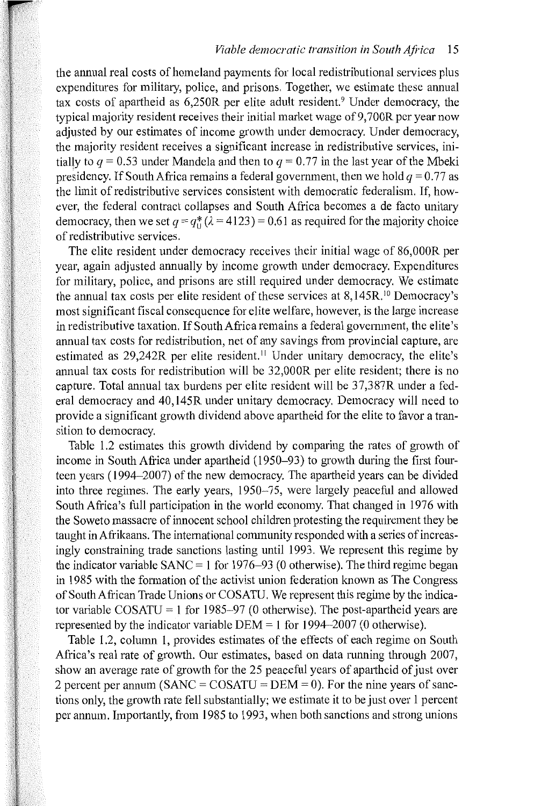the annual real costs of homeland payments for local redistributional services plus expenditures for military, police, and prisons. Together, we estimate these annual tax costs of apartheid as  $6,250R$  per elite adult resident.<sup>9</sup> Under democracy, the typical majority resident receives their initial market wage of 9,700R per year now adjusted by our estimates of income growth under democracy. Under democracy, the majority resident receives a significant increase in redistributive services, initially to  $q = 0.53$  under Mandela and then to  $q = 0.77$  in the last year of the Mbeki presidency. If South Africa remains a federal government, then we hold  $q = 0.77$  as the limit of redistributive services consistent with democratic federalism. If, however, the federal contract collapses and South Africa becomes a de facto unitary democracy, then we set  $q = q_{11}^* (\lambda = 4123) = 0.61$  as required for the majority choice of redistributive services.

The elite resident under democracy receives their initial wage of 86,000R per year, again adjusted annually by income growth under democracy. Expenditures for military, police, and prisons are still required under democracy. We estimate the annual tax costs per elite resident of these services at  $8,145R$ , <sup>10</sup> Democracy's most significant fiscal consequence for elite welfare, however, is the large increase in redistributive taxation. If South Africa remains a federal govemment, the elite's annual tax costs for redistribution, net of any savings from provincial capture, are estimated as 29,242R per elite resident.<sup>11</sup> Under unitary democracy, the elite's annual tax costs for redistribution will be 32,000R per elite resident; there is no capture. Total annual tax burdens per elite resident will be 37,387R under a federal democracy and 40,145R under unitary democracy. Democracy will need to provide a significant growth dividend above apartheid for the elite to favor a transition to democracy.

Table 1.2 estimates this growth dividend by comparing the rates of growth of income in South Africa under apartheid (1950-93) to growth during the first fourteen years (1994–2007) of the new democracy. The apartheid years can be divided into three regimes. The early years, 1950-75, were largely peaceful and allowed South Africa's full participation in the world economy. That changed in 1976 with the Soweto massacre of innocent school children protesting the requirement they be taught in Afrikaans. The international community responded with a series of increasingly constraining trade sanctions lasting until 1993. We represent this regime by the indicator variable SANC = 1 for 1976–93 (0 otherwise). The third regime began in 1985 with the formation of the activist union federation known as The Congress of South African Trade Unions or COSATU. We represent this regime by the indicator variable COSATU = 1 for 1985-97 (0 otherwise). The post-apartheid years are represented by the indicator variable  $DEM = 1$  for 1994-2007 (0 otherwise).

Table 1.2, column 1, provides estimates of the effects of each regime on South Africa's real rate of growth. Our estimates, based on data running through 2007, show an average rate of growth for the 25 peaceful years of apartheid of just over 2 percent per annum (SANC =  $COSATU = DEM = 0$ ). For the nine years of sanctions only, the growth rate fell substantially; we estimate it to be just over 1 percent per annum. Importantly, from 1985 to 1993, when both sanctions and strong unions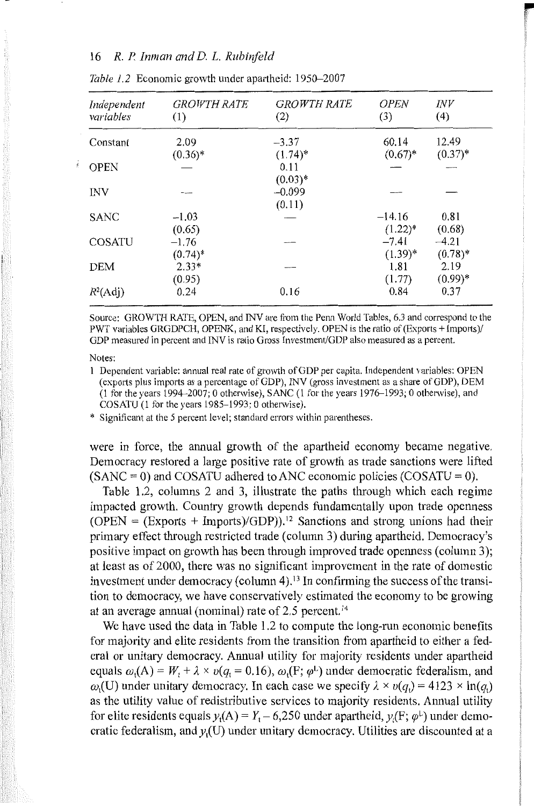| Independent<br>variables | <b>GROWTH RATE</b><br>(1) | <b>GROWTH RATE</b><br>(2) | <b>OPEN</b><br>(3) | <b>INV</b><br>(4) |
|--------------------------|---------------------------|---------------------------|--------------------|-------------------|
| Constant                 | 2.09                      | $-3.37$                   | 60.14              | 12.49             |
|                          | $(0.36)^*$                | $(1.74)^*$                | $(0.67)^*$         | $(0.37)^*$        |
| <b>OPEN</b>              |                           | 0.11                      |                    |                   |
|                          |                           | $(0.03)*$                 |                    |                   |
| <b>INV</b>               |                           | $-0.099$                  |                    |                   |
|                          |                           | (0.11)                    |                    |                   |
| <b>SANC</b>              | $-1.03$                   |                           | $-14.16$           | 0.81              |
|                          | (0.65)                    |                           | $(1.22)^*$         | (0.68)            |
| <b>COSATU</b>            | $-1.76$                   |                           | $-7.41$            | $-4.21$           |
|                          | $(0.74)^*$                |                           | $(1.39)^{*}$       | $(0.78)^*$        |
| <b>DEM</b>               | $2.33*$                   |                           | 1.81               | 2.19              |
|                          | (0.95)                    |                           | (1.77)             | $(0.99)*$         |
| $R^2(\text{Adj})$        | 0.24                      | 0.16                      | 0.84               | 0.37              |

recognized ¥

|  |  |  |  |  |  |  |  | <i>Table 1.2</i> Economic growth under apartheid: 1950–2007 |
|--|--|--|--|--|--|--|--|-------------------------------------------------------------|
|--|--|--|--|--|--|--|--|-------------------------------------------------------------|

Source: GROWTH RATE, OPEN, and INV are from the Penn World Tables, 6.3 and correspond to the PWT variables GRGDPCH, OPENK, and KI, respectively. OPEN is the ratio of (Exports+ Imports)/ GDP measured in percent and INV is ratio Gross Investment/GDP also measured as a percent.

#### Notes:

1 Dependent variable: annual real rate of growth of GDP per capita. Independent variables: OPEN (exports plus imports as a percentage of GDP), INV (gross investment as a share of GDP), DEM (1 for the years 1994-2007; 0 otherwise), SANC (1 for the years 1976-1993; 0 otherwise), and COSATU (I for the years 1985-1993; 0 otherwise).

\* Significant at the 5 percent level; standard errors within parentheses.

were in force, the annual growth of the apartheid economy became negative. Democracy restored a large positive rate of growth as trade sanctions were lifted  $(SANC = 0)$  and COSATU adhered to ANC economic policies  $(COSATU = 0)$ .

Table 1.2, columns 2 and 3, illustrate the paths through which each regime impacted growth. Country growth depends fundamentally upon trade openness  $(OPEN = (Exports + Imports)/GDP)$ .<sup>12</sup> Sanctions and strong unions had their primary effect through restricted trade (column 3) during apartheid. Democracy's positive impact on growth has been through improved trade openness (column 3); at least as of2000, there was no significant improvement in the rate of domestic investment under democracy (column  $4$ ).<sup>13</sup> In confirming the success of the transition to democracy, we have conservatively estimated the economy to be growing at an average annual (nominal) rate of 2.5 percent.<sup>14</sup>

We have used the data in Table 1.2 to compute the long-run economic benefits for majority and elite residents from the transition from apartheid to either a federal or unitary democracy. Annual utility for majority residents under apartheid equals  $\omega_1(A) = W_1 + \lambda \times v(q_1 = 0.16)$ ,  $\omega_1(F; \varphi^L)$  under democratic federalism, and  $\omega_t$ (U) under unitary democracy. In each case we specify  $\lambda \times v(q_1) = 4123 \times \ln(q_1)$ as the utility value of redistributive services to majority residents. Annual utility for elite residents equals  $y_t(A) = Y_t - 6,250$  under apartheid,  $y_t(F; \varphi^L)$  under democratic federalism, and  $y_i(U)$  under unitary democracy. Utilities are discounted at a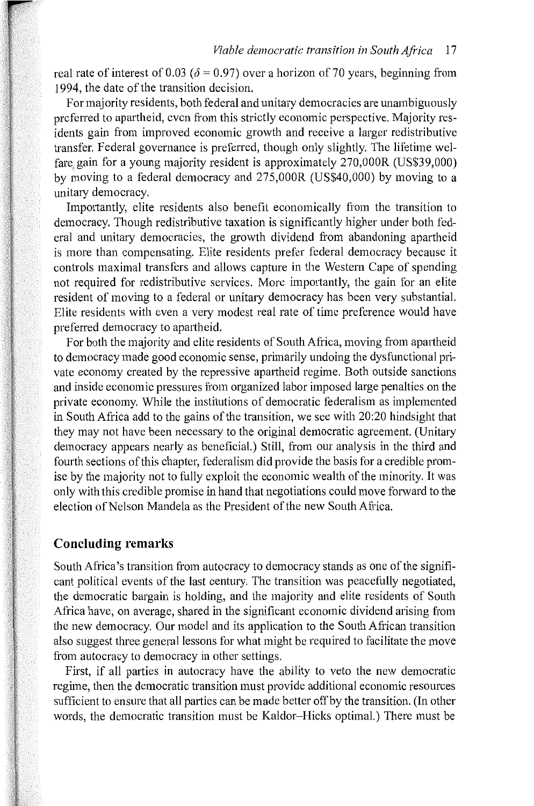real rate of interest of 0.03 ( $\delta$  = 0.97) over a horizon of 70 years, beginning from 1994, the date of the transition decision.

For majority residents, both federal and unitary democracies are unambiguously preferred to apartheid, even from this strictly economic perspective. Majority residents gain from improved economic growth and receive a larger redistributive transfer. Federal governance is preferred, though only slightly. The lifetime welfare. gain for a young majority resident is approximately 270,000R (US\$39,000) by moving to a federal democracy and 275,000R (US\$40,000) by moving to a unitary democracy.

Importantly, elite residents also benefit economically from the transition to democracy. Though redistributive taxation is significantly higher under both federal and unitary democracies, the growth dividend from abandoning apartheid is more than compensating. Elite residents prefer federal democracy because it controls maximal transfers and allows capture in the Westem Cape of spending not required for redistributive services. More importantly, the gain for an elite resident of moving to a federal or unitary democracy has been very substantial. Elite residents with even a very modest real rate of time preference would have preferred democracy to apattheid.

For both the majority and elite residents of South Africa, moving from apartheid to democracy made good economic sense, primarily undoing the dysfunctional private economy created by the repressive apartheid regime. Both outside sanctions and inside economic pressures from organized labor imposed large penalties on the private economy. While the institutions of democratic federalism as implemented in South Africa add to the gains of the transition, we see with 20:20 hindsight that they may not have been necessary to the original democratic agreement. (Unitary democracy appears nearly as beneficial.) Still, from our analysis in the third and fourth sections of this chapter, federalism did provide the basis for a credible promise by the majority not to fully exploit the economic wealth of the minority. It was only with this credible promise in hand that negotiations could move forward to the election of Nelson Mandela as the President of the new South Africa.

#### **Concluding remarks**

South Africa's transition from autocracy to democracy stands as one of the significant political events of the last century. The transition was peacefully negotiated, the democratic bargain is holding, and the majority and elite residents of South Africa have, on average, shared in the significant economic dividend arising from the new democracy. Our model and its application to the South African transition also suggest three general lessons for what might be required to facilitate the move from autocracy to democracy in other settings.

First, if all parties in autocracy have the ability to veto the new democratic regime, then the democratic transition must provide additional economic resources sufficient to ensure that all parties can be made better off by the transition. (In other words, the democratic transition must be Kaldor-Hicks optimal.) There must be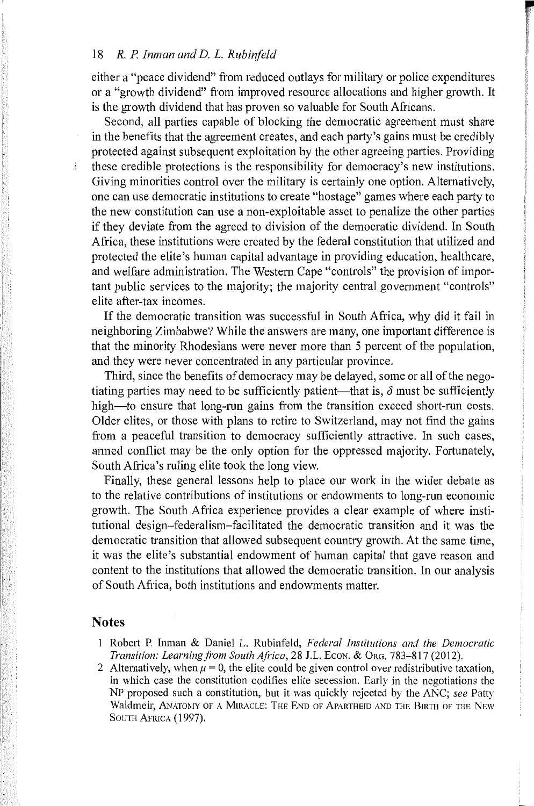either a "peace dividend" from reduced outlays for military or police expenditures or a "growth dividend" from improved resource allocations and higher growth. It is the growth dividend that has proven so valuable for South Africans.

Second, all parties capable of blocking the democratic agreement must share in the benefits that the agreement creates, and each patty's gains must be credibly protected against subsequent exploitation by the other agreeing parties. Providing these credible protections is the responsibility for democracy's new institutions. Giving minorities control over the military is certainly one option. Alternatively, one can use democratic institutions to create "hostage" games where each party to the new constitution can use a non-exploitable asset to penalize the other parties if they deviate from the agreed to division of the democratic dividend. In South Africa, these institutions were created by the federal constitution that utilized and protected the elite's human capital advantage in providing education, healthcare, and welfare administration. The Western Cape "controls" the provision of important public services to the majority; the majority central government "controls" elite after-tax incomes.

If the democratic transition was successful in South Africa, why did it fail in neighboring Zimbabwe? While the answers are many, one important difference is that the minority Rhodesians were never more than 5 percent of the population, and they were never concentrated in any particular province.

Third, since the benefits of democracy may be delayed, some or all of the negotiating parties may need to be sufficiently patient—that is,  $\delta$  must be sufficiently high—to ensure that long-run gains from the transition exceed short-run costs. Older elites, or those with plans to retire to Switzerland, may not find the gains from a peaceful transition to democracy sufficiently attractive. In such cases, armed conflict may be the only option for the oppressed majority. Fortunately, South Africa's ruling elite took the long view.

Finally, these general lessons help to place our work in the wider debate as to the relative contributions of institutions or endowments to long-run economic growth. The South Africa experience provides a clear example of where institutional design-federalism-facilitated the democratic transition and it was the democratic transition that allowed subsequent country growth. At the same time, it was the elite's substantial endowment of human capital that gave reason and content to the institutions that allowed the democratic transition. In our analysis of South Africa, both institutions and endowments matter.

#### **Notes**

- Robeti P. Inman & Daniel L. Rubinfeld, *Federal Institutions and the Democratic Transition: Learning from South Africa, 28 J.L. Econ. & Org. 783-817 (2012).*
- 2 Alternatively, when  $\mu = 0$ , the elite could be given control over redistributive taxation. in which case the constitution codifies elite secession. Early in the negotiations the NP proposed such a constitution, but it was quickly rejected by the ANC; *see* Patty Waldmeir, ANATOMY OF A MIRACLE: THE END OF APARTHEID AND THE BIRTH OF THE NEW SOUTH AFRICA (1997).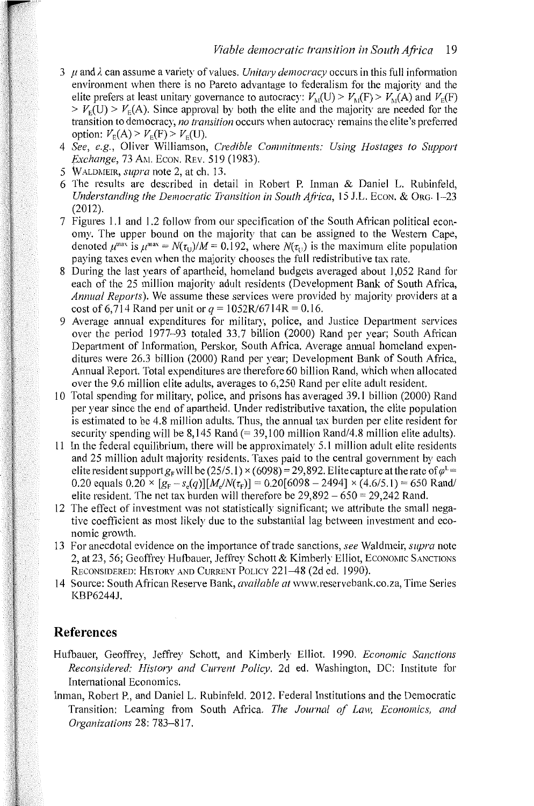- $3 \mu$  and  $\lambda$  can assume a variety of values. *Unitary democracy* occurs in this full information environment when there is no Pareto advantage to federalism for the majority and the elite prefers at least unitary governance to autocracy:  $V_{\text{M}}(U) > V_{\text{M}}(F) > V_{\text{M}}(A)$  and  $V_{\text{E}}(F)$  $> V<sub>F</sub>(U) > V<sub>F</sub>(A)$ . Since approval by both the elite and the majority are needed for the transition to democracy, *no transition* occurs when autocracy remains the elite's preferred option:  $V_E(A) > V_E(F) > V_E(U)$ .
- 4 *See, e.g.,* Oliver Williamson, *Credible Commitments: Using Hostages to Support Exchange, 73 AM. Econ. REV. 519 (1983).*
- 5 WALDMEIR, *supra* note 2, at ch. 13.
- 6 The results are described in detail in Robert P. Inman & Daniel L. Rubinfeld, *Understanding the Democratic Transition in South Africa, 15 J.L. Econ. & Org. 1–23* (2012).
- 7 Figures I. I and I .2 follow from our specification of the South African political economy. The upper bound on the majority that can be assigned to the Western Cape, denoted  $\mu^{max}$  is  $\mu^{max} = N(\tau_{11})/M = 0.192$ , where  $N(\tau_{11})$  is the maximum elite population paying taxes even when the majority chooses the full redistributive tax rate.
- 8 During the last years of apartheid, homeland budgets averaged about 1,052 Rand for each of the 25 million majority adult residents (Development Bank of South Africa, *Annual Reports).* We assume these services were provided by majority providers at a cost of 6,714 Rand per unit or  $q = 1052R/6714R = 0.16$ .
- 9 Average annual expenditures for military, police, and Justice Department services over the period 1977-93 totaled 33.7 billion (2000) Rand per year; South African Depatiment of Information, Perskor, South Africa. Average annual homeland expenditures were 26.3 billion (2000) Rand per year; Development Bank of South Africa, Annual Repoti. Total expenditures are therefore 60 billion Rand, which when allocated over the 9.6 million elite adults, averages to 6,250 Rand per elite adult resident.
- 10 Total spending for military, police, and prisons has averaged 39. I billion (2000) Rand per year since the end of apartheid. Under redistributive taxation, the elite population is estimated to be 4.8 million adults. Thus, the annual tax burden per elite resident for security spending will be  $8.145$  Rand  $(= 39.100$  million Rand/4.8 million elite adults).
- 11 In the federal equilibrium, there will be approximately 5.1 million adult elite residents and 25 million adult majority residents. Taxes paid to the central government by each elite resident support  $g_F$  will be (25/5.1) × (6098) = 29,892. Elite capture at the rate of  $\varphi^{\perp}$  = 0.20 equals  $0.20 \times [g_F - s_e(q)] [M_e/N(\tau_F)] = 0.20[6098 - 2494] \times (4.6/5.1) = 650 \text{ Rand}$ elite resident. The net tax burden will therefore be  $29,892 - 650 = 29,242$  Rand.
- 12 The effect of investment was not statistically significant; we attribute the small negative coefficient as most likely due to the substantial lag between investment and economic growth.
- 13 For anecdotal evidence on the impotiance of trade sanctions, *see* Waldmeir, *supra* note 2, at 23, 56; Geoffrey Hufbauer, Jeffrey Schott & Kimberly Elliot, ECONOMIC SANCTIONS RECONSIDERED: HISTORY AND CURRENT POLICY 221-48 (2d ed. 1990).
- 14 Source: South African Reserve Bank, *available at* www.reservebank.co.za, Time Series KBP6244J.

## **References**

- Hufbauer, Geoffrey, Jeffrey Schott, and Kimberly Elliot. 1990. *Economic Sanctions Reconsidered: History and Current Policy.* 2d ed. Washington, DC: Institute for International Economics.
- Inman, Robert P., and Daniel L. Rubinfeld. 2012. Federal Institutions and the Democratic Transition: Learning from South Africa. *The Journal of Law, Economics, and Organizations* 28:783-817.